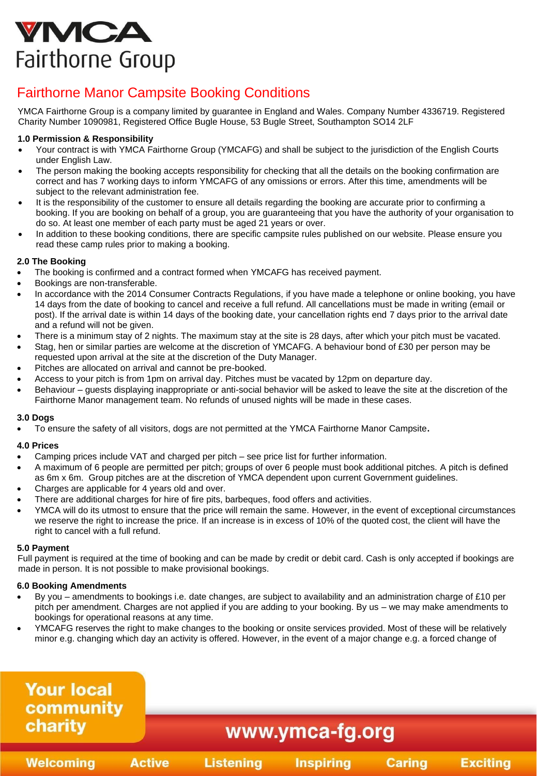# **YMCA** Fairthorne Group

# Fairthorne Manor Campsite Booking Conditions

YMCA Fairthorne Group is a company limited by guarantee in England and Wales. Company Number 4336719. Registered Charity Number 1090981, Registered Office Bugle House, 53 Bugle Street, Southampton SO14 2LF

# **1.0 Permission & Responsibility**

- Your contract is with YMCA Fairthorne Group (YMCAFG) and shall be subject to the jurisdiction of the English Courts under English Law.
- The person making the booking accepts responsibility for checking that all the details on the booking confirmation are correct and has 7 working days to inform YMCAFG of any omissions or errors. After this time, amendments will be subject to the relevant administration fee.
- It is the responsibility of the customer to ensure all details regarding the booking are accurate prior to confirming a booking. If you are booking on behalf of a group, you are guaranteeing that you have the authority of your organisation to do so. At least one member of each party must be aged 21 years or over.
- In addition to these booking conditions, there are specific campsite rules published on our website. Please ensure you read these camp rules prior to making a booking.

# **2.0 The Booking**

- The booking is confirmed and a contract formed when YMCAFG has received payment.
- Bookings are non-transferable.
- In accordance with the 2014 Consumer Contracts Regulations, if you have made a telephone or online booking, you have 14 days from the date of booking to cancel and receive a full refund. All cancellations must be made in writing (email or post). If the arrival date is within 14 days of the booking date, your cancellation rights end 7 days prior to the arrival date and a refund will not be given.
- There is a minimum stay of 2 nights. The maximum stay at the site is 28 days, after which your pitch must be vacated.
- Stag, hen or similar parties are welcome at the discretion of YMCAFG. A behaviour bond of £30 per person may be requested upon arrival at the site at the discretion of the Duty Manager.
- Pitches are allocated on arrival and cannot be pre-booked.
- Access to your pitch is from 1pm on arrival day. Pitches must be vacated by 12pm on departure day.
- Behaviour guests displaying inappropriate or anti-social behavior will be asked to leave the site at the discretion of the Fairthorne Manor management team. No refunds of unused nights will be made in these cases.

# **3.0 Dogs**

• To ensure the safety of all visitors, dogs are not permitted at the YMCA Fairthorne Manor Campsite**.** 

# **4.0 Prices**

- Camping prices include VAT and charged per pitch see price list for further information.
- A maximum of 6 people are permitted per pitch; groups of over 6 people must book additional pitches. A pitch is defined as 6m x 6m. Group pitches are at the discretion of YMCA dependent upon current Government guidelines.
- Charges are applicable for 4 years old and over.
- There are additional charges for hire of fire pits, barbeques, food offers and activities.
- YMCA will do its utmost to ensure that the price will remain the same. However, in the event of exceptional circumstances we reserve the right to increase the price. If an increase is in excess of 10% of the quoted cost, the client will have the right to cancel with a full refund.

# **5.0 Payment**

Full payment is required at the time of booking and can be made by credit or debit card. Cash is only accepted if bookings are made in person. It is not possible to make provisional bookings.

# **6.0 Booking Amendments**

- By you amendments to bookings i.e. date changes, are subject to availability and an administration charge of £10 per pitch per amendment. Charges are not applied if you are adding to your booking. By us – we may make amendments to bookings for operational reasons at any time.
- YMCAFG reserves the right to make changes to the booking or onsite services provided. Most of these will be relatively minor e.g. changing which day an activity is offered. However, in the event of a major change e.g. a forced change of

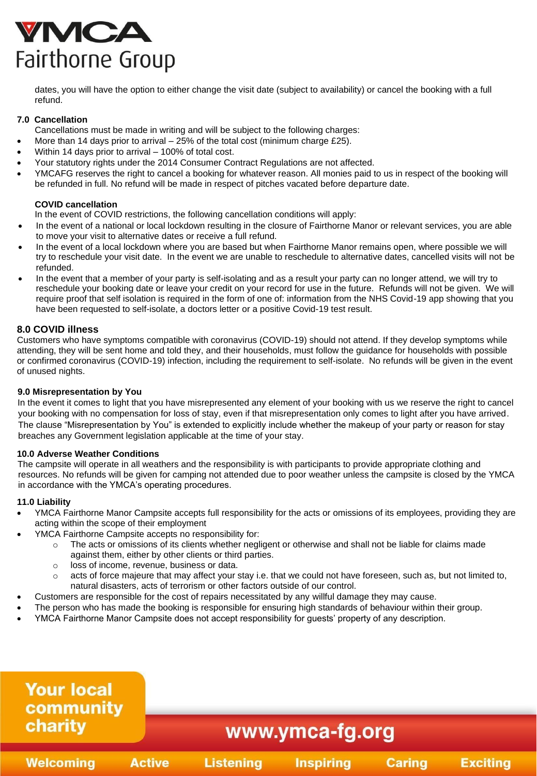# VMCA Fairthorne Group

dates, you will have the option to either change the visit date (subject to availability) or cancel the booking with a full refund.

# **7.0 Cancellation**

Cancellations must be made in writing and will be subject to the following charges:

- More than 14 days prior to arrival  $-25%$  of the total cost (minimum charge £25).
- Within 14 days prior to arrival 100% of total cost.
- Your statutory rights under the 2014 Consumer Contract Regulations are not affected.
- YMCAFG reserves the right to cancel a booking for whatever reason. All monies paid to us in respect of the booking will be refunded in full. No refund will be made in respect of pitches vacated before departure date.

# **COVID cancellation**

In the event of COVID restrictions, the following cancellation conditions will apply:

- In the event of a national or local lockdown resulting in the closure of Fairthorne Manor or relevant services, you are able to move your visit to alternative dates or receive a full refund.
- In the event of a local lockdown where you are based but when Fairthorne Manor remains open, where possible we will try to reschedule your visit date. In the event we are unable to reschedule to alternative dates, cancelled visits will not be refunded.
- In the event that a member of your party is self-isolating and as a result your party can no longer attend, we will try to reschedule your booking date or leave your credit on your record for use in the future. Refunds will not be given. We will require proof that self isolation is required in the form of one of: information from the NHS Covid-19 app showing that you have been requested to self-isolate, a doctors letter or a positive Covid-19 test result.

# **8.0 COVID illness**

Customers who have symptoms compatible with coronavirus (COVID-19) should not attend. If they develop symptoms while attending, they will be sent home and told they, and their households, must follow the guidance for households with possible or confirmed coronavirus (COVID-19) infection, including the requirement to self-isolate. No refunds will be given in the event of unused nights.

#### **9.0 Misrepresentation by You**

In the event it comes to light that you have misrepresented any element of your booking with us we reserve the right to cancel your booking with no compensation for loss of stay, even if that misrepresentation only comes to light after you have arrived. The clause "Misrepresentation by You" is extended to explicitly include whether the makeup of your party or reason for stay breaches any Government legislation applicable at the time of your stay.

#### **10.0 Adverse Weather Conditions**

The campsite will operate in all weathers and the responsibility is with participants to provide appropriate clothing and resources. No refunds will be given for camping not attended due to poor weather unless the campsite is closed by the YMCA in accordance with the YMCA's operating procedures.

#### **11.0 Liability**

- YMCA Fairthorne Manor Campsite accepts full responsibility for the acts or omissions of its employees, providing they are acting within the scope of their employment
- YMCA Fairthorne Campsite accepts no responsibility for:
	- o The acts or omissions of its clients whether negligent or otherwise and shall not be liable for claims made against them, either by other clients or third parties.
	- o loss of income, revenue, business or data.
	- $\circ$  acts of force majeure that may affect your stay i.e. that we could not have foreseen, such as, but not limited to, natural disasters, acts of terrorism or other factors outside of our control.
- Customers are responsible for the cost of repairs necessitated by any willful damage they may cause.
- The person who has made the booking is responsible for ensuring high standards of behaviour within their group.
- YMCA Fairthorne Manor Campsite does not accept responsibility for guests' property of any description.

#### **Your local** community charity www.ymca-fg.org **Inspiring Active Listening Caring Exciting Welcoming**